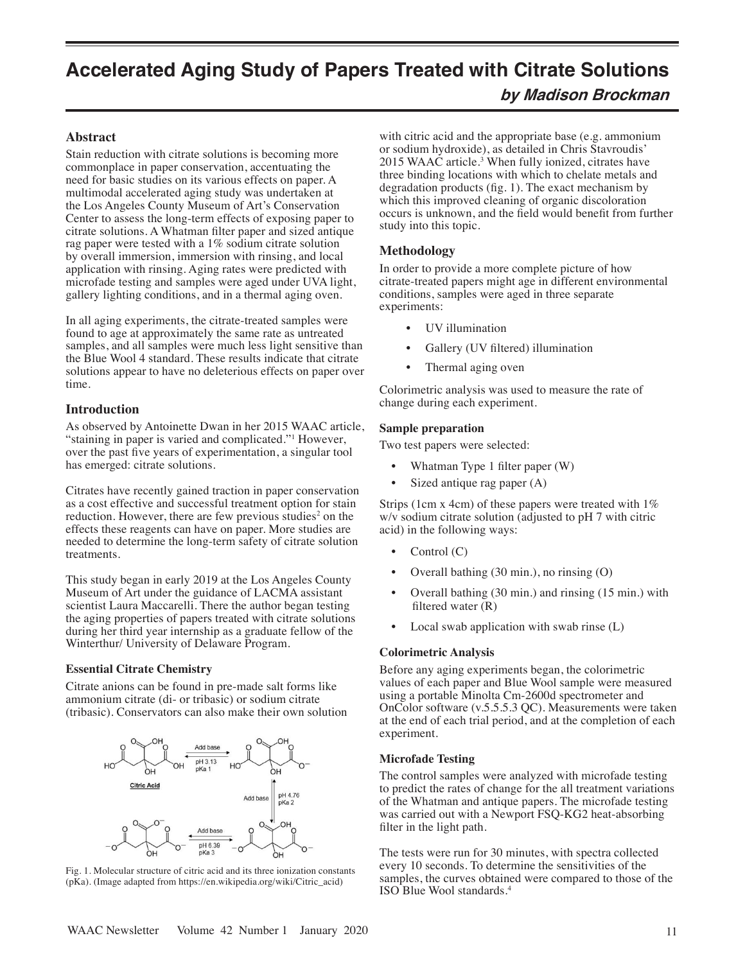# **Accelerated Aging Study of Papers Treated with Citrate Solutions**

# **by Madison Brockman**

### **Abstract**

Stain reduction with citrate solutions is becoming more commonplace in paper conservation, accentuating the need for basic studies on its various effects on paper. A multimodal accelerated aging study was undertaken at the Los Angeles County Museum of Art's Conservation Center to assess the long-term effects of exposing paper to citrate solutions. A Whatman filter paper and sized antique rag paper were tested with a 1% sodium citrate solution by overall immersion, immersion with rinsing, and local application with rinsing. Aging rates were predicted with microfade testing and samples were aged under UVA light, gallery lighting conditions, and in a thermal aging oven.

In all aging experiments, the citrate-treated samples were found to age at approximately the same rate as untreated samples, and all samples were much less light sensitive than the Blue Wool 4 standard. These results indicate that citrate solutions appear to have no deleterious effects on paper over time.

### **Introduction**

As observed by Antoinette Dwan in her 2015 WAAC article, "staining in paper is varied and complicated."<sup>1</sup> However, over the past five years of experimentation, a singular tool has emerged: citrate solutions.

Citrates have recently gained traction in paper conservation as a cost effective and successful treatment option for stain reduction. However, there are few previous studies<sup>2</sup> on the effects these reagents can have on paper. More studies are needed to determine the long-term safety of citrate solution treatments.

This study began in early 2019 at the Los Angeles County Museum of Art under the guidance of LACMA assistant scientist Laura Maccarelli. There the author began testing the aging properties of papers treated with citrate solutions during her third year internship as a graduate fellow of the Winterthur/ University of Delaware Program.

### **Essential Citrate Chemistry**

Citrate anions can be found in pre-made salt forms like ammonium citrate (di- or tribasic) or sodium citrate (tribasic). Conservators can also make their own solution



Fig. 1. Molecular structure of citric acid and its three ionization constants (pKa). (Image adapted from https://en.wikipedia.org/wiki/Citric\_acid)

with citric acid and the appropriate base (e.g. ammonium or sodium hydroxide), as detailed in Chris Stavroudis' 2015 WAAC article.3 When fully ionized, citrates have three binding locations with which to chelate metals and degradation products (fig. 1). The exact mechanism by which this improved cleaning of organic discoloration occurs is unknown, and the field would benefit from further study into this topic.

### **Methodology**

In order to provide a more complete picture of how citrate-treated papers might age in different environmental conditions, samples were aged in three separate experiments:

- UV illumination
- Gallery (UV filtered) illumination
- Thermal aging oven

Colorimetric analysis was used to measure the rate of change during each experiment.

### **Sample preparation**

Two test papers were selected:

- Whatman Type 1 filter paper (W)
- Sized antique rag paper (A)

Strips (1cm x 4cm) of these papers were treated with  $1\%$ w/v sodium citrate solution (adjusted to pH 7 with citric acid) in the following ways:

- Control (C)
- Overall bathing (30 min.), no rinsing (O)
- Overall bathing (30 min.) and rinsing (15 min.) with filtered water (R)
- Local swab application with swab rinse (L)

### **Colorimetric Analysis**

Before any aging experiments began, the colorimetric values of each paper and Blue Wool sample were measured using a portable Minolta Cm-2600d spectrometer and OnColor software (v.5.5.5.3 QC). Measurements were taken at the end of each trial period, and at the completion of each experiment.

### **Microfade Testing**

The control samples were analyzed with microfade testing to predict the rates of change for the all treatment variations of the Whatman and antique papers. The microfade testing was carried out with a Newport FSQ-KG2 heat-absorbing filter in the light path.

The tests were run for 30 minutes, with spectra collected every 10 seconds. To determine the sensitivities of the samples, the curves obtained were compared to those of the ISO Blue Wool standards.4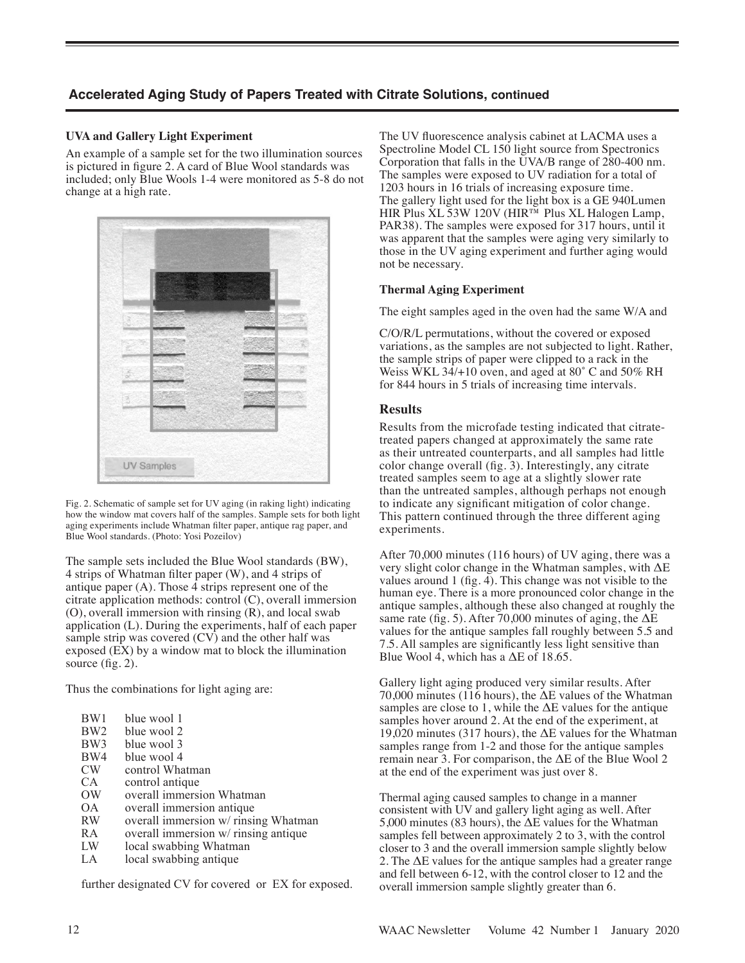## **Accelerated Aging Study of Papers Treated with Citrate Solutions, continued**

### **UVA and Gallery Light Experiment**

An example of a sample set for the two illumination sources is pictured in figure 2. A card of Blue Wool standards was included; only Blue Wools 1-4 were monitored as 5-8 do not change at a high rate.



Fig. 2. Schematic of sample set for UV aging (in raking light) indicating how the window mat covers half of the samples. Sample sets for both light aging experiments include Whatman filter paper, antique rag paper, and Blue Wool standards. (Photo: Yosi Pozeilov)

The sample sets included the Blue Wool standards (BW), 4 strips of Whatman filter paper (W), and 4 strips of antique paper (A). Those 4 strips represent one of the citrate application methods: control (C), overall immersion (O), overall immersion with rinsing (R), and local swab application (L). During the experiments, half of each paper sample strip was covered (CV) and the other half was exposed (EX) by a window mat to block the illumination source (fig. 2).

Thus the combinations for light aging are:

| BW1             | blue wool 1                          |
|-----------------|--------------------------------------|
| BW <sub>2</sub> | blue wool 2                          |
| BW3             | blue wool 3                          |
| BW4             | blue wool 4                          |
| CW              | control Whatman                      |
| CА              | control antique                      |
| ОW              | overall immersion Whatman            |
| OΑ              | overall immersion antique            |
| <b>RW</b>       | overall immersion w/ rinsing Whatman |
| <b>RA</b>       | overall immersion w/ rinsing antique |
| LW              | local swabbing Whatman               |
| LA              | local swabbing antique               |

further designated CV for covered or EX for exposed.

The UV fluorescence analysis cabinet at LACMA uses a Spectroline Model CL 150 light source from Spectronics Corporation that falls in the UVA/B range of 280-400 nm. The samples were exposed to UV radiation for a total of 1203 hours in 16 trials of increasing exposure time. The gallery light used for the light box is a GE 940Lumen HIR Plus XL 53W 120V (HIR™ Plus XL Halogen Lamp, PAR38). The samples were exposed for 317 hours, until it was apparent that the samples were aging very similarly to those in the UV aging experiment and further aging would not be necessary.

### **Thermal Aging Experiment**

The eight samples aged in the oven had the same W/A and

C/O/R/L permutations, without the covered or exposed variations, as the samples are not subjected to light. Rather, the sample strips of paper were clipped to a rack in the Weiss WKL 34/+10 oven, and aged at 80° C and 50% RH for 844 hours in 5 trials of increasing time intervals.

### **Results**

Results from the microfade testing indicated that citratetreated papers changed at approximately the same rate as their untreated counterparts, and all samples had little color change overall (fig. 3). Interestingly, any citrate treated samples seem to age at a slightly slower rate than the untreated samples, although perhaps not enough to indicate any significant mitigation of color change. This pattern continued through the three different aging experiments.

After 70,000 minutes (116 hours) of UV aging, there was a very slight color change in the Whatman samples, with ΔE values around 1 (fig. 4). This change was not visible to the human eye. There is a more pronounced color change in the antique samples, although these also changed at roughly the same rate (fig. 5). After 70,000 minutes of aging, the  $\Delta E$ values for the antique samples fall roughly between 5.5 and 7.5. All samples are significantly less light sensitive than Blue Wool 4, which has a  $\Delta E$  of 18.65.

Gallery light aging produced very similar results. After 70,000 minutes (116 hours), the  $\Delta E$  values of the Whatman samples are close to 1, while the  $\Delta E$  values for the antique samples hover around 2. At the end of the experiment, at 19,020 minutes (317 hours), the  $\Delta E$  values for the Whatman samples range from 1-2 and those for the antique samples remain near 3. For comparison, the  $\Delta E$  of the Blue Wool 2 at the end of the experiment was just over 8.

Thermal aging caused samples to change in a manner consistent with UV and gallery light aging as well. After 5,000 minutes (83 hours), the ΔE values for the Whatman samples fell between approximately 2 to 3, with the control closer to 3 and the overall immersion sample slightly below 2. The ΔE values for the antique samples had a greater range and fell between 6-12, with the control closer to 12 and the overall immersion sample slightly greater than 6.